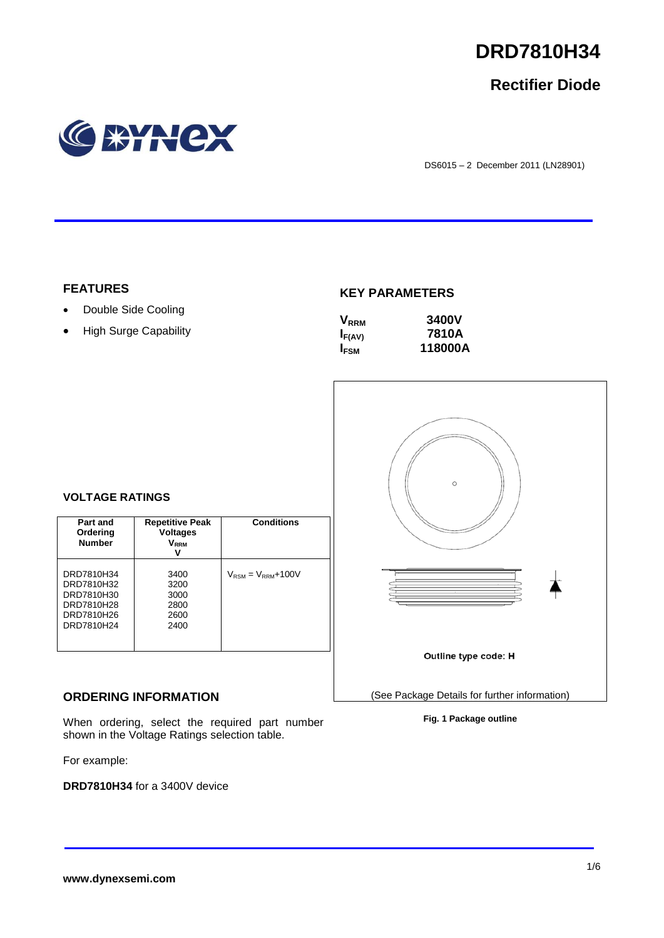

# **Rectifier Diode**



DS6015 – 2 December 2011 (LN28901)

# **FEATURES**

- Double Side Cooling
- High Surge Capability

## **KEY PARAMETERS**

| $V_{RRM}$   | 3400V   |
|-------------|---------|
| $I_{F(AV)}$ | 7810A   |
| <b>IFSM</b> | 118000A |



### **Fig. 1 Package outline**

### **VOLTAGE RATINGS**

| Part and<br>Ordering<br><b>Number</b>                                            | <b>Repetitive Peak</b><br><b>Voltages</b><br>$V_{RRM}$ | <b>Conditions</b>                        |
|----------------------------------------------------------------------------------|--------------------------------------------------------|------------------------------------------|
| DRD7810H34<br>DRD7810H32<br>DRD7810H30<br>DRD7810H28<br>DRD7810H26<br>DRD7810H24 | 3400<br>3200<br>3000<br>2800<br>2600<br>2400           | $V_{\text{RSM}} = V_{\text{RRM}} + 100V$ |

# **ORDERING INFORMATION**

When ordering, select the required part number shown in the Voltage Ratings selection table.

For example:

**DRD7810H34** for a 3400V device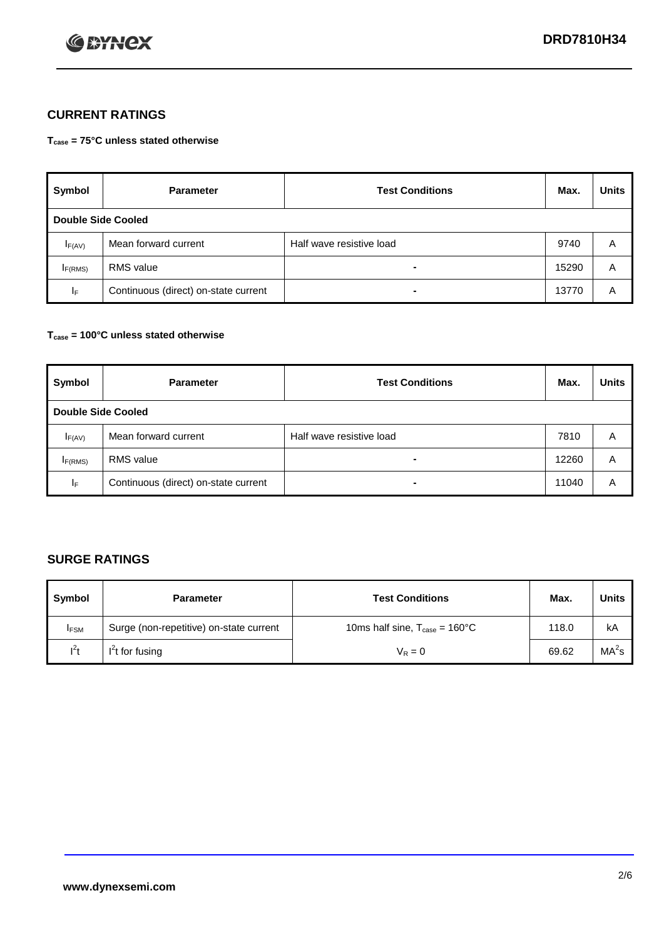

# **CURRENT RATINGS**

**Tcase = 75°C unless stated otherwise**

| Symbol      | <b>Parameter</b>                     | <b>Test Conditions</b>   | Max.  | <b>Units</b> |  |  |
|-------------|--------------------------------------|--------------------------|-------|--------------|--|--|
|             | Double Side Cooled                   |                          |       |              |  |  |
| $I_{F(AV)}$ | Mean forward current                 | Half wave resistive load | 9740  | A            |  |  |
| IF(RMS)     | <b>RMS</b> value                     | $\blacksquare$           | 15290 | A            |  |  |
| IF.         | Continuous (direct) on-state current | $\blacksquare$           | 13770 | A            |  |  |

### **Tcase = 100°C unless stated otherwise**

| Symbol                    | <b>Parameter</b>                     | <b>Test Conditions</b>   | Max.  | <b>Units</b> |  |
|---------------------------|--------------------------------------|--------------------------|-------|--------------|--|
| <b>Double Side Cooled</b> |                                      |                          |       |              |  |
| $I_{F(AV)}$               | Mean forward current                 | Half wave resistive load | 7810  | Α            |  |
| I <sub>F(RMS)</sub>       | <b>RMS</b> value                     | $\blacksquare$           | 12260 | A            |  |
| lF.                       | Continuous (direct) on-state current | ۰                        | 11040 | A            |  |

# **SURGE RATINGS**

| Symbol      | <b>Parameter</b>                        | <b>Test Conditions</b>                            | Max.  | <b>Units</b>      |
|-------------|-----------------------------------------|---------------------------------------------------|-------|-------------------|
| <b>IFSM</b> | Surge (non-repetitive) on-state current | 10ms half sine, $T_{\text{case}} = 160^{\circ}$ C | 118.0 | kA                |
| $l^2t$      | I <sup>'</sup> t for fusing             | $V_R = 0$                                         | 69.62 | MA <sup>2</sup> s |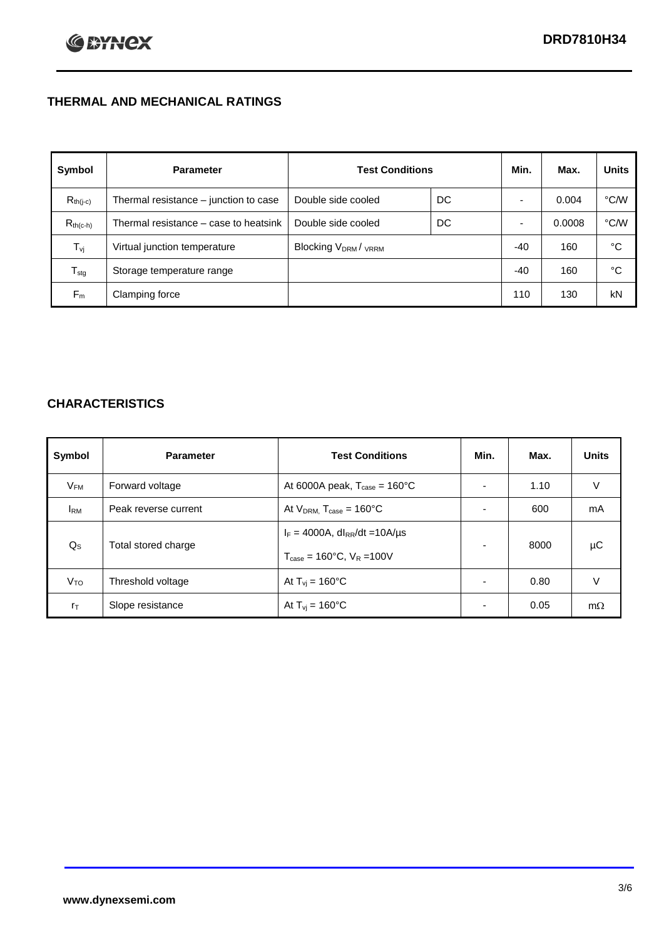# **THERMAL AND MECHANICAL RATINGS**

| Symbol           | <b>Parameter</b>                      | <b>Test Conditions</b>                      |    | Min.  | Max.   | <b>Units</b> |
|------------------|---------------------------------------|---------------------------------------------|----|-------|--------|--------------|
| $R_{th(j-c)}$    | Thermal resistance - junction to case | Double side cooled                          | DC |       | 0.004  | °C/W         |
| $R_{th(c-h)}$    | Thermal resistance – case to heatsink | Double side cooled                          | DC |       | 0.0008 | °C/W         |
| $T_{\rm vj}$     | Virtual junction temperature          | Blocking V <sub>DRM</sub> / <sub>VRRM</sub> |    | -40   | 160    | °C           |
| $T_{\text{stg}}$ | Storage temperature range             |                                             |    | $-40$ | 160    | °C           |
| $F_m$            | Clamping force                        |                                             |    | 110   | 130    | kN           |

# **CHARACTERISTICS**

| Symbol                   | <b>Parameter</b>     | <b>Test Conditions</b>                                                                           | Min.           | Max. | <b>Units</b> |
|--------------------------|----------------------|--------------------------------------------------------------------------------------------------|----------------|------|--------------|
| $\mathsf{V}_\mathsf{FM}$ | Forward voltage      | At 6000A peak, $T_{\text{case}} = 160^{\circ}C$                                                  |                | 1.10 | V            |
| <b>I</b> <sub>RM</sub>   | Peak reverse current | At $V_{DRM}$ , $T_{case} = 160^{\circ}C$                                                         | ۰              | 600  | mA           |
| $Q_{\rm S}$              | Total stored charge  | $I_F = 4000A$ , dl <sub>RR</sub> /dt = 10A/us<br>$T_{\text{case}} = 160^{\circ}$ C. $V_R = 100V$ | $\blacksquare$ | 8000 | μC           |
| V <sub>TO</sub>          | Threshold voltage    | At $T_{vi}$ = 160 $^{\circ}$ C                                                                   | $\blacksquare$ | 0.80 | V            |
| $r_{\text{T}}$           | Slope resistance     | At $T_{vi} = 160^{\circ}$ C                                                                      | ۰              | 0.05 | $m\Omega$    |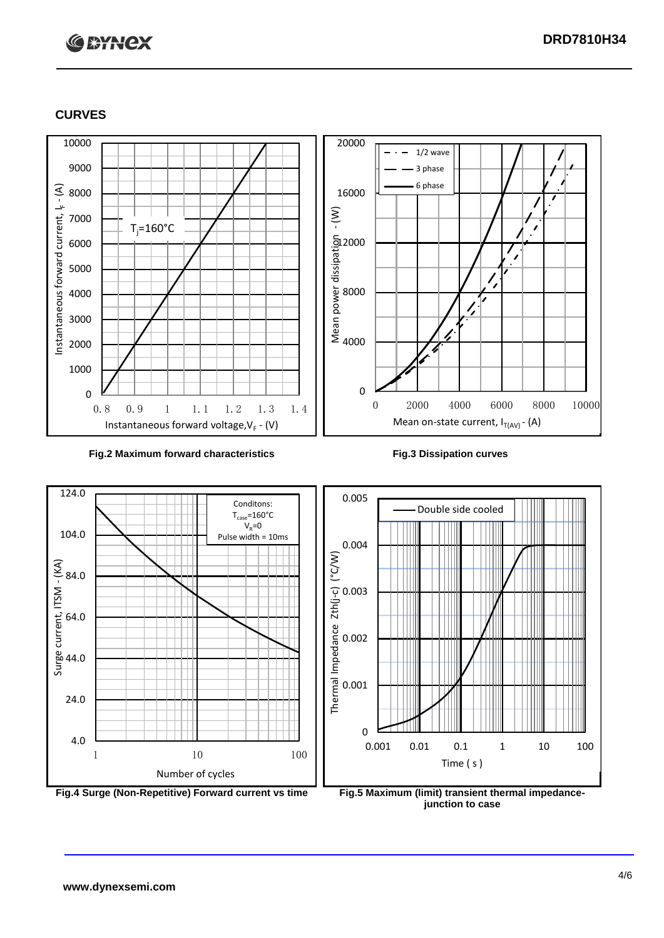# **C BYNCX**

# **CURVES**



### **Fig.2 Maximum forward characteristics Fig.3 Dissipation curves**





**junction to case**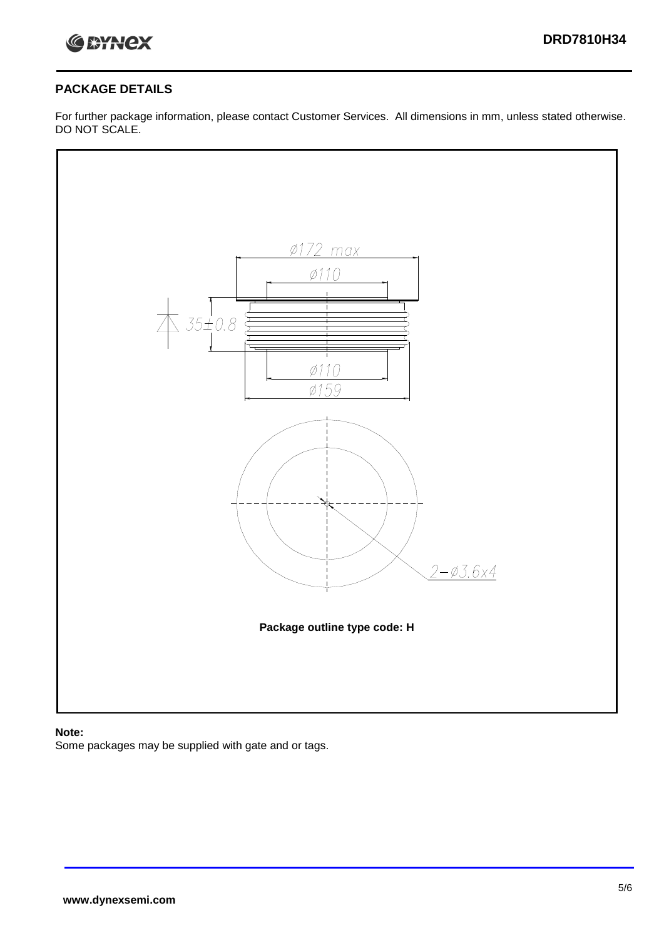

# **PACKAGE DETAILS**

For further package information, please contact Customer Services. All dimensions in mm, unless stated otherwise. DO NOT SCALE.



### **Note:**

Some packages may be supplied with gate and or tags.